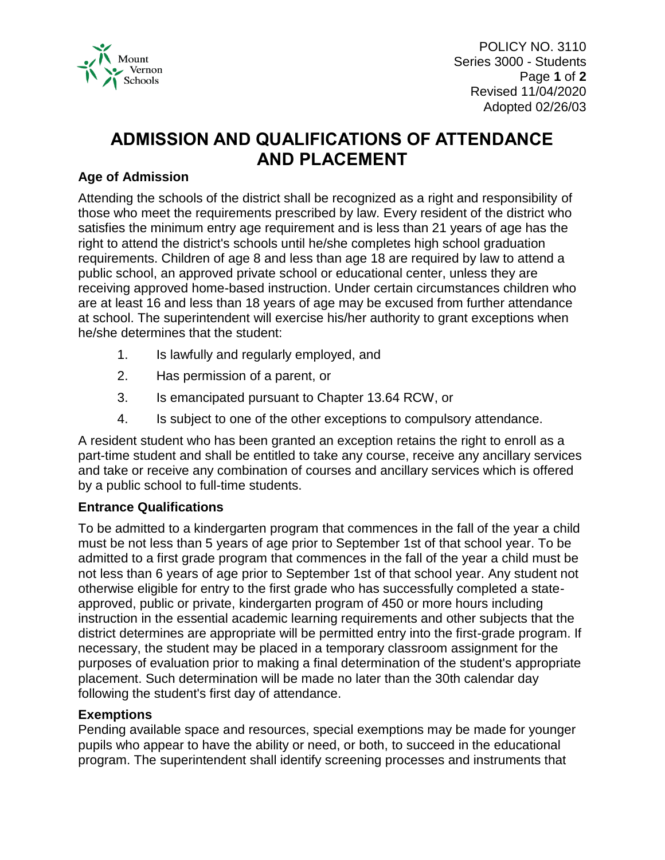

POLICY NO. 3110 Series 3000 - Students Page **1** of **2** Revised 11/04/2020 Adopted 02/26/03

# **ADMISSION AND QUALIFICATIONS OF ATTENDANCE AND PLACEMENT**

# **Age of Admission**

Attending the schools of the district shall be recognized as a right and responsibility of those who meet the requirements prescribed by law. Every resident of the district who satisfies the minimum entry age requirement and is less than 21 years of age has the right to attend the district's schools until he/she completes high school graduation requirements. Children of age 8 and less than age 18 are required by law to attend a public school, an approved private school or educational center, unless they are receiving approved home-based instruction. Under certain circumstances children who are at least 16 and less than 18 years of age may be excused from further attendance at school. The superintendent will exercise his/her authority to grant exceptions when he/she determines that the student:

- 1. Is lawfully and regularly employed, and
- 2. Has permission of a parent, or
- 3. Is emancipated pursuant to Chapter 13.64 RCW, or
- 4. Is subject to one of the other exceptions to compulsory attendance.

A resident student who has been granted an exception retains the right to enroll as a part-time student and shall be entitled to take any course, receive any ancillary services and take or receive any combination of courses and ancillary services which is offered by a public school to full-time students.

### **Entrance Qualifications**

To be admitted to a kindergarten program that commences in the fall of the year a child must be not less than 5 years of age prior to September 1st of that school year. To be admitted to a first grade program that commences in the fall of the year a child must be not less than 6 years of age prior to September 1st of that school year. Any student not otherwise eligible for entry to the first grade who has successfully completed a stateapproved, public or private, kindergarten program of 450 or more hours including instruction in the essential academic learning requirements and other subjects that the district determines are appropriate will be permitted entry into the first-grade program. If necessary, the student may be placed in a temporary classroom assignment for the purposes of evaluation prior to making a final determination of the student's appropriate placement. Such determination will be made no later than the 30th calendar day following the student's first day of attendance.

### **Exemptions**

Pending available space and resources, special exemptions may be made for younger pupils who appear to have the ability or need, or both, to succeed in the educational program. The superintendent shall identify screening processes and instruments that